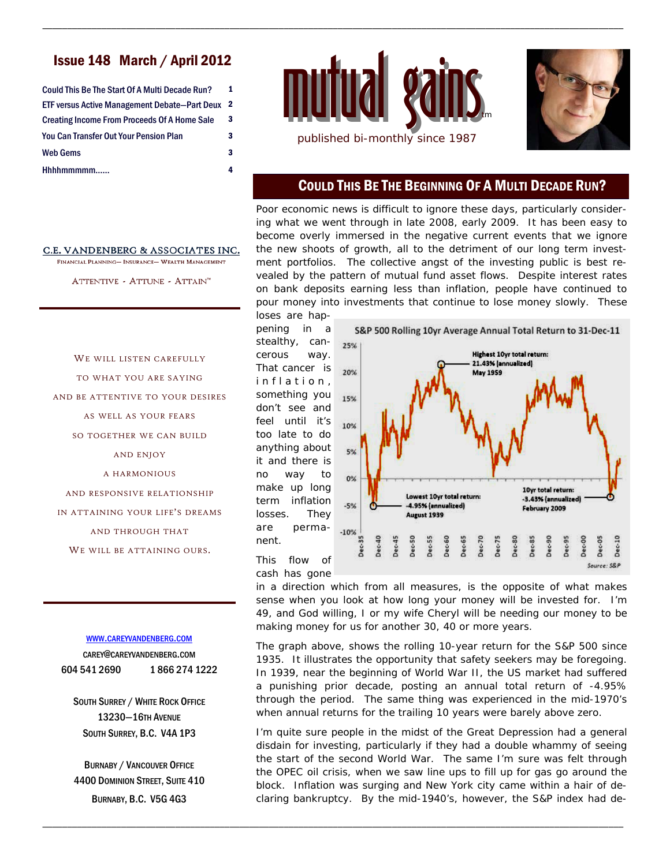# Issue 148 March / April 2012

| ETF versus Active Management Debate-Part Deux 2<br><b>Creating Income From Proceeds Of A Home Sale</b><br>You Can Transfer Out Your Pension Plan<br>Web Gems | Could This Be The Start Of A Multi Decade Run? |   |
|--------------------------------------------------------------------------------------------------------------------------------------------------------------|------------------------------------------------|---|
|                                                                                                                                                              |                                                |   |
|                                                                                                                                                              |                                                | 3 |
|                                                                                                                                                              |                                                | 3 |
|                                                                                                                                                              |                                                | 3 |
|                                                                                                                                                              | Hhhhmmmmm                                      | 4 |



\_\_\_\_\_\_\_\_\_\_\_\_\_\_\_\_\_\_\_\_\_\_\_\_\_\_\_\_\_\_\_\_\_\_\_\_\_\_\_\_\_\_\_\_\_\_\_\_\_\_\_\_\_\_\_\_\_\_\_\_\_\_\_\_\_\_\_\_\_\_\_\_\_\_\_\_\_\_\_\_\_\_\_\_\_\_\_\_\_\_\_\_\_\_\_\_\_\_\_\_\_\_\_\_\_\_\_\_\_\_\_\_\_\_\_\_\_\_



### COULD THIS BE THE BEGINNING OF A MULTI DECADE RUN?

Poor economic news is difficult to ignore these days, particularly considering what we went through in late 2008, early 2009. It has been easy to become overly immersed in the negative current events that we ignore the new shoots of growth, all to the detriment of our long term investment portfolios. The collective angst of the investing public is best revealed by the pattern of mutual fund asset flows. Despite interest rates on bank deposits earning less than inflation, people have continued to pour money into investments that continue to lose money slowly. These loses are hap-

pening in a stealthy, cancerous way. That cancer is inflation, something you don't see and feel until it's too late to do anything about it and there is no way to make up long term inflation losses. They are permanent.



This flow of cash has gone

\_\_\_\_\_\_\_\_\_\_\_\_\_\_\_\_\_\_\_\_\_\_\_\_\_\_\_\_\_\_\_\_\_\_\_\_\_\_\_\_\_\_\_\_\_\_\_\_\_\_\_\_\_\_\_\_\_\_\_\_\_\_\_\_\_\_\_\_\_\_\_\_\_\_\_\_\_\_\_\_\_\_\_\_\_\_\_\_\_\_\_\_\_\_\_\_\_\_\_\_\_\_\_\_\_\_\_\_\_\_\_\_\_\_\_\_\_\_

in a direction which from all measures, is the opposite of what makes sense when you look at how long your money will be invested for. I'm 49, and God willing, I or my wife Cheryl will be needing our money to be making money for us for another 30, 40 or more years.

The graph above, shows the rolling 10-year return for the S&P 500 since 1935. It illustrates the opportunity that safety seekers may be foregoing. In 1939, near the beginning of World War II, the US market had suffered a punishing prior decade, posting an annual total return of -4.95% through the period. The same thing was experienced in the mid-1970's when annual returns for the trailing 10 years were barely above zero.

I'm quite sure people in the midst of the Great Depression had a general disdain for investing, particularly if they had a double whammy of seeing the start of the second World War. The same I'm sure was felt through the OPEC oil crisis, when we saw line ups to fill up for gas go around the block. Inflation was surging and New York city came within a hair of declaring bankruptcy. By the mid-1940's, however, the S&P index had de-

#### C.E. VANDENBERG & ASSOCIATES INC.

FINANCIAL PLANNING- INSURANCE- WEALTH MANAGEMENT

ATTENTIVE - ATTUNE - ATTAIN"

WE WILL LISTEN CAREFULLY

TO WHAT YOU ARE SAYING AND BE ATTENTIVE TO YOUR DESIRES AS WELL AS YOUR FEARS SO TOGETHER WE CAN BUILD AND ENJOY A HARMONIOUS AND RESPONSIVE RELATIONSHIP IN ATTAINING YOUR LIFE'S DREAMS AND THROUGH THAT WE WILL BE ATTAINING OURS.

#### WWW.CAREYVANDENBERG.COM

CAREY@CAREYVANDENBERG.COM 604 541 2690 1 866 274 1222

SOUTH SURREY / WHITE ROCK OFFICE 13230—16TH AVENUE SOUTH SURREY, B.C. V4A 1P3

BURNABY / VANCOUVER OFFICE 4400 DOMINION STREET, SUITE 410 BURNABY, B.C. V5G 4G3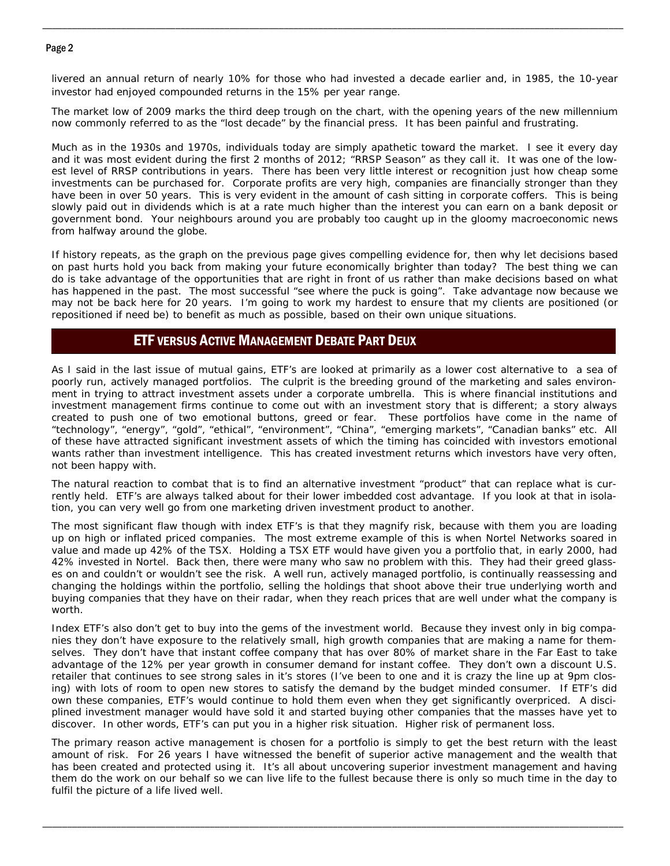#### Page 2

livered an annual return of nearly 10% for those who had invested a decade earlier and, in 1985, the 10-year investor had enjoyed compounded returns in the 15% per year range.

\_\_\_\_\_\_\_\_\_\_\_\_\_\_\_\_\_\_\_\_\_\_\_\_\_\_\_\_\_\_\_\_\_\_\_\_\_\_\_\_\_\_\_\_\_\_\_\_\_\_\_\_\_\_\_\_\_\_\_\_\_\_\_\_\_\_\_\_\_\_\_\_\_\_\_\_\_\_\_\_\_\_\_\_\_\_\_\_\_\_\_\_\_\_\_\_\_\_\_\_\_\_\_\_\_\_\_\_\_\_\_\_\_\_\_\_\_\_

The market low of 2009 marks the third deep trough on the chart, with the opening years of the new millennium now commonly referred to as the "lost decade" by the financial press. It has been painful and frustrating.

Much as in the 1930s and 1970s, individuals today are simply apathetic toward the market. I see it every day and it was most evident during the first 2 months of 2012; "RRSP Season" as they call it. It was one of the lowest level of RRSP contributions in years. There has been very little interest or recognition just how cheap some investments can be purchased for. Corporate profits are very high, companies are financially stronger than they have been in over 50 years. This is very evident in the amount of cash sitting in corporate coffers. This is being slowly paid out in dividends which is at a rate much higher than the interest you can earn on a bank deposit or government bond. Your neighbours around you are probably too caught up in the gloomy macroeconomic news from halfway around the globe.

If history repeats, as the graph on the previous page gives compelling evidence for, then why let decisions based on past hurts hold you back from making your future economically brighter than today? The best thing we can do is take advantage of the opportunities that are right in front of us rather than make decisions based on what has happened in the past. The most successful "see where the puck is going". Take advantage now because we may not be back here for 20 years. I'm going to work my hardest to ensure that my clients are positioned (or repositioned if need be) to benefit as much as possible, based on their own unique situations.

## ETF VERSUS ACTIVE MANAGEMENT DEBATE PART DEUX

As I said in the last issue of mutual gains, ETF's are looked at primarily as a lower cost alternative to a sea of poorly run, actively managed portfolios. The culprit is the breeding ground of the marketing and sales environment in trying to attract investment assets under a corporate umbrella. This is where financial institutions and investment management firms continue to come out with an investment story that is different; a story always created to push one of two emotional buttons, greed or fear. These portfolios have come in the name of "technology", "energy", "gold", "ethical", "environment", "China", "emerging markets", "Canadian banks" etc. All of these have attracted significant investment assets of which the timing has coincided with investors emotional wants rather than investment intelligence. This has created investment returns which investors have very often, not been happy with.

The natural reaction to combat that is to find an alternative investment "product" that can replace what is currently held. ETF's are always talked about for their lower imbedded cost advantage. If you look at that in isolation, you can very well go from one marketing driven investment product to another.

The most significant flaw though with index ETF's is that they magnify risk, because with them you are loading up on high or inflated priced companies. The most extreme example of this is when Nortel Networks soared in value and made up 42% of the TSX. Holding a TSX ETF would have given you a portfolio that, in early 2000, had 42% invested in Nortel. Back then, there were many who saw no problem with this. They had their greed glasses on and couldn't or wouldn't see the risk. A well run, actively managed portfolio, is continually reassessing and changing the holdings within the portfolio, selling the holdings that shoot above their true underlying worth and buying companies that they have on their radar, when they reach prices that are well under what the company is worth.

Index ETF's also don't get to buy into the gems of the investment world. Because they invest only in big companies they don't have exposure to the relatively small, high growth companies that are making a name for themselves. They don't have that instant coffee company that has over 80% of market share in the Far East to take advantage of the 12% per year growth in consumer demand for instant coffee. They don't own a discount U.S. retailer that continues to see strong sales in it's stores (I've been to one and it is crazy the line up at 9pm closing) with lots of room to open new stores to satisfy the demand by the budget minded consumer. If ETF's did own these companies, ETF's would continue to hold them even when they get significantly overpriced. A disciplined investment manager would have sold it and started buying other companies that the masses have yet to discover. In other words, ETF's can put you in a higher risk situation. Higher risk of permanent loss.

The primary reason active management is chosen for a portfolio is simply to get the best return with the least amount of risk. For 26 years I have witnessed the benefit of superior active management and the wealth that has been created and protected using it. It's all about uncovering superior investment management and having them do the work on our behalf so we can live life to the fullest because there is only so much time in the day to fulfil the picture of a life lived well.

\_\_\_\_\_\_\_\_\_\_\_\_\_\_\_\_\_\_\_\_\_\_\_\_\_\_\_\_\_\_\_\_\_\_\_\_\_\_\_\_\_\_\_\_\_\_\_\_\_\_\_\_\_\_\_\_\_\_\_\_\_\_\_\_\_\_\_\_\_\_\_\_\_\_\_\_\_\_\_\_\_\_\_\_\_\_\_\_\_\_\_\_\_\_\_\_\_\_\_\_\_\_\_\_\_\_\_\_\_\_\_\_\_\_\_\_\_\_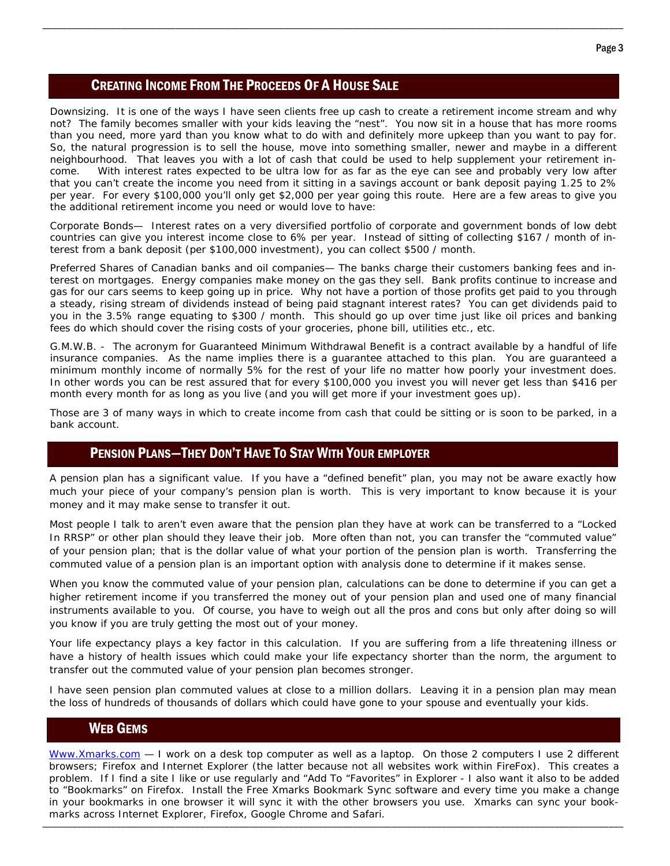## CREATING INCOME FROM THE PROCEEDS OF A HOUSE SALE

Downsizing. It is one of the ways I have seen clients free up cash to create a retirement income stream and why not? The family becomes smaller with your kids leaving the "nest". You now sit in a house that has more rooms than you need, more yard than you know what to do with and definitely more upkeep than you want to pay for. So, the natural progression is to sell the house, move into something smaller, newer and maybe in a different neighbourhood. That leaves you with a lot of cash that could be used to help supplement your retirement income. With interest rates expected to be ultra low for as far as the eye can see and probably very low after that you can't create the income you need from it sitting in a savings account or bank deposit paying 1.25 to 2% per year. For every \$100,000 you'll only get \$2,000 per year going this route. Here are a few areas to give you the additional retirement income you need or would love to have:

\_\_\_\_\_\_\_\_\_\_\_\_\_\_\_\_\_\_\_\_\_\_\_\_\_\_\_\_\_\_\_\_\_\_\_\_\_\_\_\_\_\_\_\_\_\_\_\_\_\_\_\_\_\_\_\_\_\_\_\_\_\_\_\_\_\_\_\_\_\_\_\_\_\_\_\_\_\_\_\_\_\_\_\_\_\_\_\_\_\_\_\_\_\_\_\_\_\_\_\_\_\_\_\_\_\_\_\_\_\_\_\_\_\_\_\_\_\_

Corporate Bonds— Interest rates on a very diversified portfolio of corporate and government bonds of low debt countries can give you interest income close to 6% per year. Instead of sitting of collecting \$167 / month of interest from a bank deposit (per \$100,000 investment), you can collect \$500 / month.

Preferred Shares of Canadian banks and oil companies— The banks charge their customers banking fees and interest on mortgages. Energy companies make money on the gas they sell. Bank profits continue to increase and gas for our cars seems to keep going up in price. Why not have a portion of those profits get paid to you through a steady, rising stream of dividends instead of being paid stagnant interest rates? You can get dividends paid to you in the 3.5% range equating to \$300 / month. This should go up over time just like oil prices and banking fees do which should cover the rising costs of your groceries, phone bill, utilities etc., etc.

G.M.W.B. - The acronym for Guaranteed Minimum Withdrawal Benefit is a contract available by a handful of life insurance companies. As the name implies there is a guarantee attached to this plan. You are guaranteed a minimum monthly income of normally 5% for the rest of your life no matter how poorly your investment does. In other words you can be rest assured that for every \$100,000 you invest you will never get less than \$416 per month every month for as long as you live (and you will get more if your investment goes up).

Those are 3 of many ways in which to create income from cash that could be sitting or is soon to be parked, in a bank account.

# PENSION PLANS—THEY DON'T HAVE TO STAY WITH YOUR EMPLOYER

A pension plan has a significant value. If you have a "defined benefit" plan, you may not be aware exactly how much your piece of your company's pension plan is worth. This is very important to know because it is your money and it may make sense to transfer it out.

Most people I talk to aren't even aware that the pension plan they have at work can be transferred to a "Locked In RRSP" or other plan should they leave their job. More often than not, you can transfer the "commuted value" of your pension plan; that is the dollar value of what your portion of the pension plan is worth. Transferring the commuted value of a pension plan is an important option with analysis done to determine if it makes sense.

When you know the commuted value of your pension plan, calculations can be done to determine if you can get a higher retirement income if you transferred the money out of your pension plan and used one of many financial instruments available to you. Of course, you have to weigh out all the pros and cons but only after doing so will you know if you are truly getting the most out of your money.

Your life expectancy plays a key factor in this calculation. If you are suffering from a life threatening illness or have a history of health issues which could make your life expectancy shorter than the norm, the argument to transfer out the commuted value of your pension plan becomes stronger.

I have seen pension plan commuted values at close to a million dollars. Leaving it in a pension plan may mean the loss of hundreds of thousands of dollars which could have gone to your spouse and eventually your kids.

## WEB GEMS

\_\_\_\_\_\_\_\_\_\_\_\_\_\_\_\_\_\_\_\_\_\_\_\_\_\_\_\_\_\_\_\_\_\_\_\_\_\_\_\_\_\_\_\_\_\_\_\_\_\_\_\_\_\_\_\_\_\_\_\_\_\_\_\_\_\_\_\_\_\_\_\_\_\_\_\_\_\_\_\_\_\_\_\_\_\_\_\_\_\_\_\_\_\_\_\_\_\_\_\_\_\_\_\_\_\_\_\_\_\_\_\_\_\_\_\_\_\_ Www.Xmarks.com - I work on a desk top computer as well as a laptop. On those 2 computers I use 2 different browsers; Firefox and Internet Explorer (the latter because not all websites work within FireFox). This creates a problem. If I find a site I like or use regularly and "Add To "Favorites" in Explorer - I also want it also to be added to "Bookmarks" on Firefox. Install the Free Xmarks Bookmark Sync software and every time you make a change in your bookmarks in one browser it will sync it with the other browsers you use. Xmarks can sync your bookmarks across Internet Explorer, Firefox, Google Chrome and Safari.